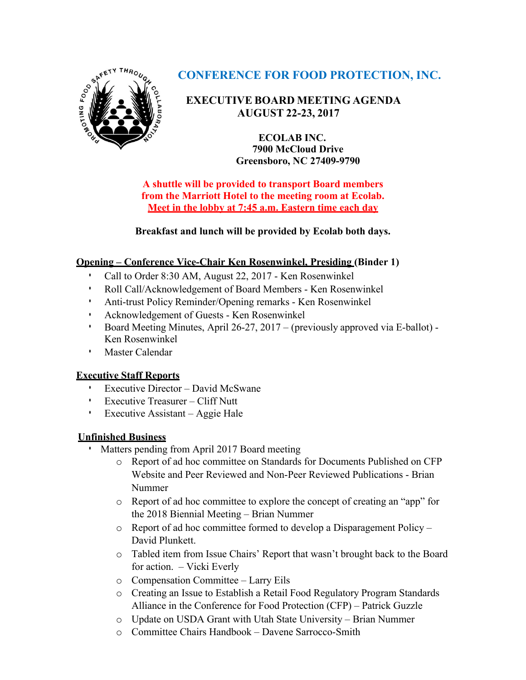

# **CONFERENCE FOR FOOD PROTECTION, INC.**

# **EXECUTIVE BOARD MEETING AGENDA AUGUST 22-23, 2017**

**ECOLAB INC. 7900 McCloud Drive Greensboro, NC 27409-9790**

**A shuttle will be provided to transport Board members from the Marriott Hotel to the meeting room at Ecolab. Meet in the lobby at 7:45 a.m. Eastern time each day**

**Breakfast and lunch will be provided by Ecolab both days.**

# **Opening – Conference Vice-Chair Ken Rosenwinkel, Presiding (Binder 1)**

- Call to Order 8:30 AM, August 22, 2017 Ken Rosenwinkel
- Roll Call/Acknowledgement of Board Members Ken Rosenwinkel
- Anti-trust Policy Reminder/Opening remarks Ken Rosenwinkel
- Acknowledgement of Guests Ken Rosenwinkel
- Board Meeting Minutes, April 26-27, 2017 (previously approved via E-ballot) Ken Rosenwinkel
- Master Calendar

### **Executive Staff Reports**

- Executive Director David McSwane
- Executive Treasurer Cliff Nutt
- Executive Assistant Aggie Hale

### **Unfinished Business**

- Matters pending from April 2017 Board meeting
	- o Report of ad hoc committee on Standards for Documents Published on CFP Website and Peer Reviewed and Non-Peer Reviewed Publications - Brian Nummer
	- o Report of ad hoc committee to explore the concept of creating an "app" for the 2018 Biennial Meeting – Brian Nummer
	- o Report of ad hoc committee formed to develop a Disparagement Policy David Plunkett.
	- o Tabled item from Issue Chairs' Report that wasn't brought back to the Board for action. – Vicki Everly
	- o Compensation Committee Larry Eils
	- o Creating an Issue to Establish a Retail Food Regulatory Program Standards Alliance in the Conference for Food Protection (CFP) – Patrick Guzzle
	- o Update on USDA Grant with Utah State University Brian Nummer
	- o Committee Chairs Handbook Davene Sarrocco-Smith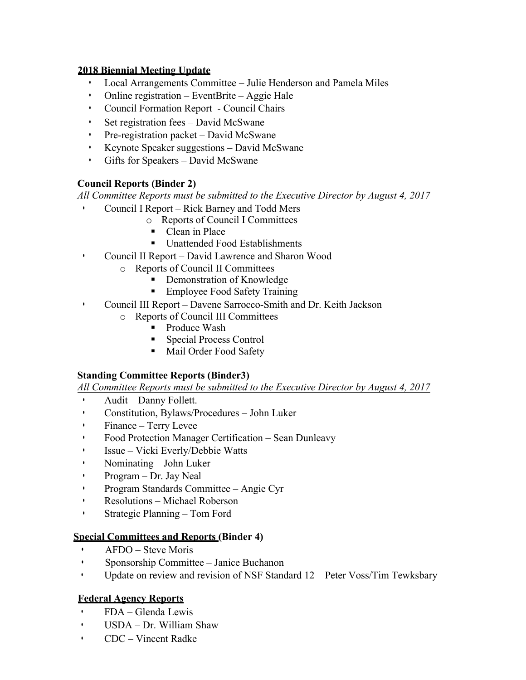#### **2018 Biennial Meeting Update**

- Local Arrangements Committee Julie Henderson and Pamela Miles
- Online registration EventBrite Aggie Hale
- Council Formation Report Council Chairs
- Set registration fees David McSwane
- Pre-registration packet David McSwane
- Keynote Speaker suggestions David McSwane
- Gifts for Speakers David McSwane

# **Council Reports (Binder 2)**

*All Committee Reports must be submitted to the Executive Director by August 4, 2017*

- Council I Report Rick Barney and Todd Mers
	- o Reports of Council I Committees
	- Clean in Place
	- Unattended Food Establishments
- Council II Report David Lawrence and Sharon Wood
	- o Reports of Council II Committees
		- Demonstration of Knowledge
			- § Employee Food Safety Training
- Council III Report Davene Sarrocco-Smith and Dr. Keith Jackson
	- o Reports of Council III Committees
		- Produce Wash
		- Special Process Control
		- Mail Order Food Safety

### **Standing Committee Reports (Binder3)**

*All Committee Reports must be submitted to the Executive Director by August 4, 2017*

- Audit Danny Follett.
- Constitution, Bylaws/Procedures John Luker
- Finance Terry Levee
- Food Protection Manager Certification Sean Dunleavy
- Issue Vicki Everly/Debbie Watts
- Nominating John Luker
- Program Dr. Jay Neal
- Program Standards Committee Angie Cyr
- Resolutions Michael Roberson
- Strategic Planning Tom Ford

### **Special Committees and Reports (Binder 4)**

- AFDO Steve Moris
- Sponsorship Committee Janice Buchanon
- Update on review and revision of NSF Standard 12 Peter Voss/Tim Tewksbary

# **Federal Agency Reports**

- FDA Glenda Lewis
- USDA Dr. William Shaw
- CDC Vincent Radke